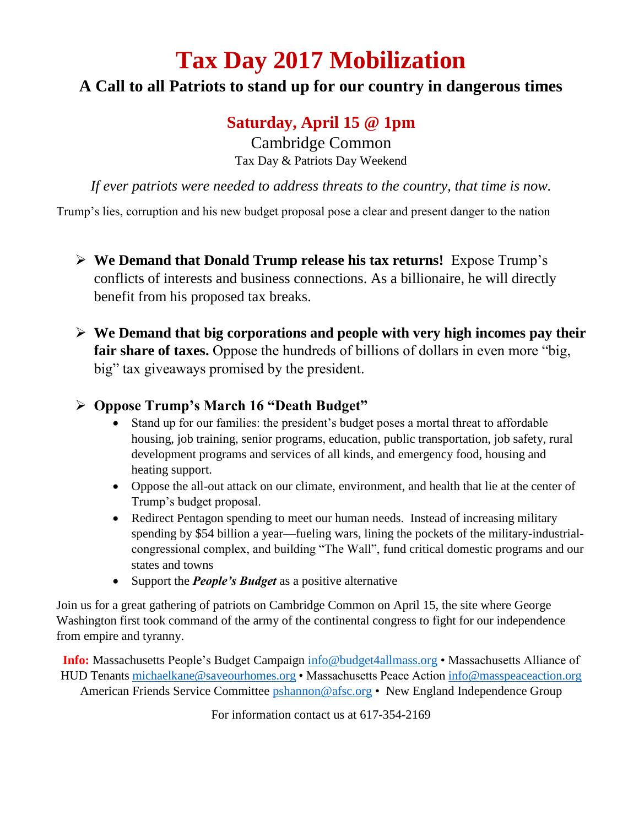# **Tax Day 2017 Mobilization**

## **A Call to all Patriots to stand up for our country in dangerous times**

## **Saturday, April 15 @ 1pm**

Cambridge Common Tax Day & Patriots Day Weekend

*If ever patriots were needed to address threats to the country, that time is now.*

Trump's lies, corruption and his new budget proposal pose a clear and present danger to the nation

- **We Demand that Donald Trump release his tax returns!** Expose Trump's conflicts of interests and business connections. As a billionaire, he will directly benefit from his proposed tax breaks.
- **We Demand that big corporations and people with very high incomes pay their fair share of taxes.** Oppose the hundreds of billions of dollars in even more "big, big" tax giveaways promised by the president.

### **Oppose Trump's March 16 "Death Budget"**

- Stand up for our families: the president's budget poses a mortal threat to affordable housing, job training, senior programs, education, public transportation, job safety, rural development programs and services of all kinds, and emergency food, housing and heating support.
- Oppose the all-out attack on our climate, environment, and health that lie at the center of Trump's budget proposal.
- Redirect Pentagon spending to meet our human needs. Instead of increasing military spending by \$54 billion a year—fueling wars, lining the pockets of the military-industrialcongressional complex, and building "The Wall", fund critical domestic programs and our states and towns
- Support the *People's Budget* as a positive alternative

Join us for a great gathering of patriots on Cambridge Common on April 15, the site where George Washington first took command of the army of the continental congress to fight for our independence from empire and tyranny.

**Info:** Massachusetts People's Budget Campaign [info@budget4allmass.org](mailto:info@budget4allmass.org) • Massachusetts Alliance of HUD Tenants [michaelkane@saveourhomes.org](mailto:michaelkane@saveourhomes.org) • Massachusetts Peace Actio[n info@masspeaceaction.org](mailto:info@masspeaceaction.org) American Friends Service Committee [pshannon@afsc.org](mailto:pshannon@afsc.org) • New England Independence Group

For information contact us at 617-354-2169